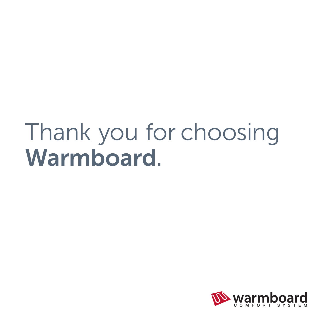## Thank you for choosing Warmboard.

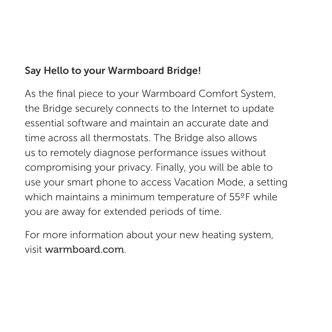## Say Hello to your Warmboard Bridge!

As the final piece to your Warmboard Comfort System, the Bridge securely connects to the Internet to update essential software and maintain an accurate date and time across all thermostats. The Bridge also allows us to remotely diagnose performance issues without compromising your privacy. Finally, you will be able to use your smart phone to access Vacation Mode, a setting which maintains a minimum temperature of 55ºF while you are away for extended periods of time.

For more information about your new heating system, visit warmboard.com.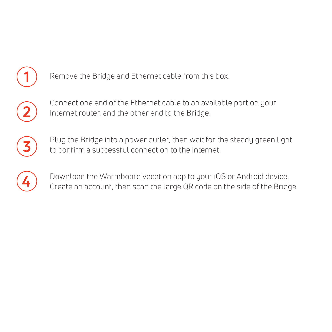



**1**

Connect one end of the Ethernet cable to an available port on your Internet router, and the other end to the Bridge.



Plug the Bridge into a power outlet, then wait for the steady green light to confirm a successful connection to the Internet.



Download the Warmboard vacation app to your iOS or Android device. Create an account, then scan the large QR code on the side of the Bridge.